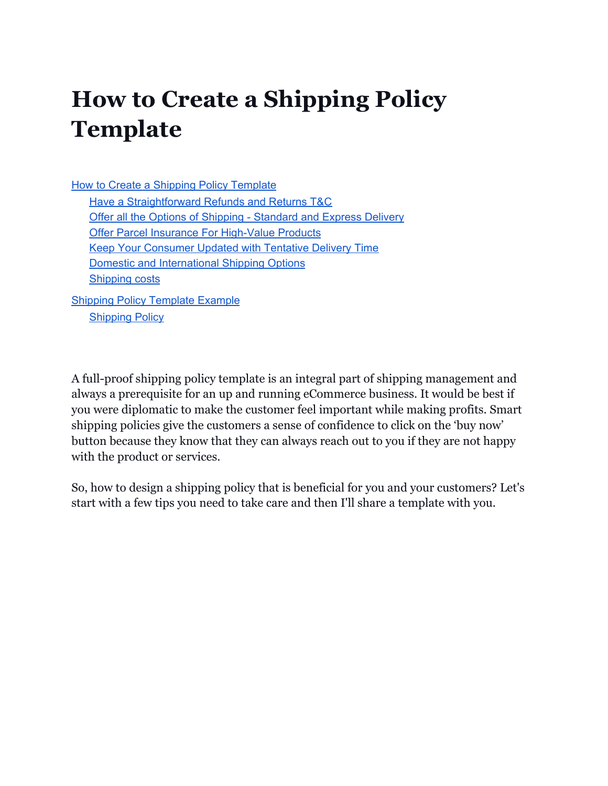## <span id="page-0-0"></span>**How to Create a Shipping Policy Template**

How to Create a Shipping Policy [Template](#page-0-0) Have a [Straightforward](#page-2-0) Refunds and Returns T&C Offer all the Options of Shipping - [Standard](#page-1-0) and Express Delivery Offer Parcel Insurance For [High-Value](#page-1-1) Products Keep Your [Consumer](#page-2-1) Updated with Tentative Delivery Time Domestic and [International](#page-2-2) Shipping Options [Shipping](#page-2-3) costs Shipping Policy [Template](#page-3-0) Example

[Shipping](#page-3-1) Policy

A full-proof shipping policy template is an integral part of shipping management and always a prerequisite for an up and running eCommerce business. It would be best if you were diplomatic to make the customer feel important while making profits. Smart shipping policies give the customers a sense of confidence to click on the 'buy now' button because they know that they can always reach out to you if they are not happy with the product or services.

So, how to design a shipping policy that is beneficial for you and your customers? Let's start with a few tips you need to take care and then I'll share a template with you.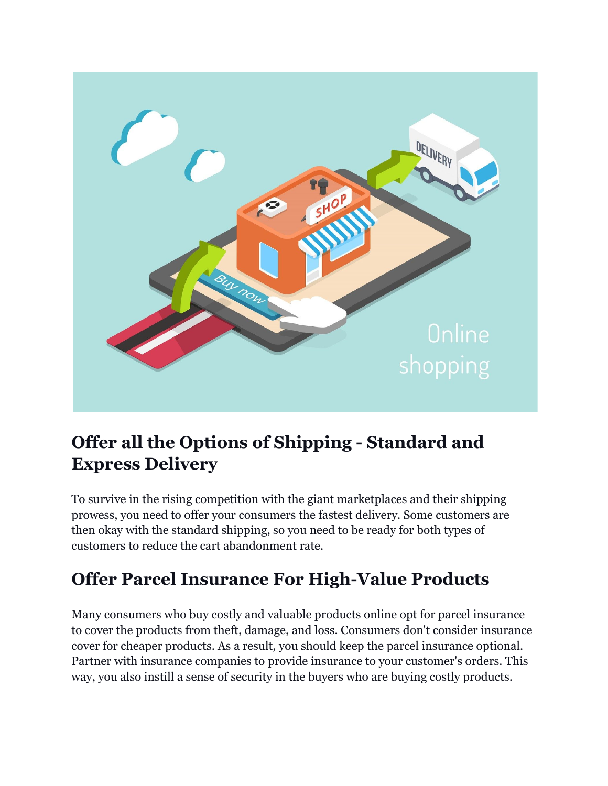

### <span id="page-1-0"></span>**Offer all the Options of Shipping - Standard and Express Delivery**

To survive in the rising competition with the giant marketplaces and their shipping prowess, you need to offer your consumers the fastest delivery. Some customers are then okay with the standard shipping, so you need to be ready for both types of customers to reduce the cart abandonment rate.

### <span id="page-1-1"></span>**Offer Parcel Insurance For High-Value Products**

Many consumers who buy costly and valuable products online opt for parcel insurance to cover the products from theft, damage, and loss. Consumers don't consider insurance cover for cheaper products. As a result, you should keep the parcel insurance optional. Partner with insurance companies to provide insurance to your customer's orders. This way, you also instill a sense of security in the buyers who are buying costly products.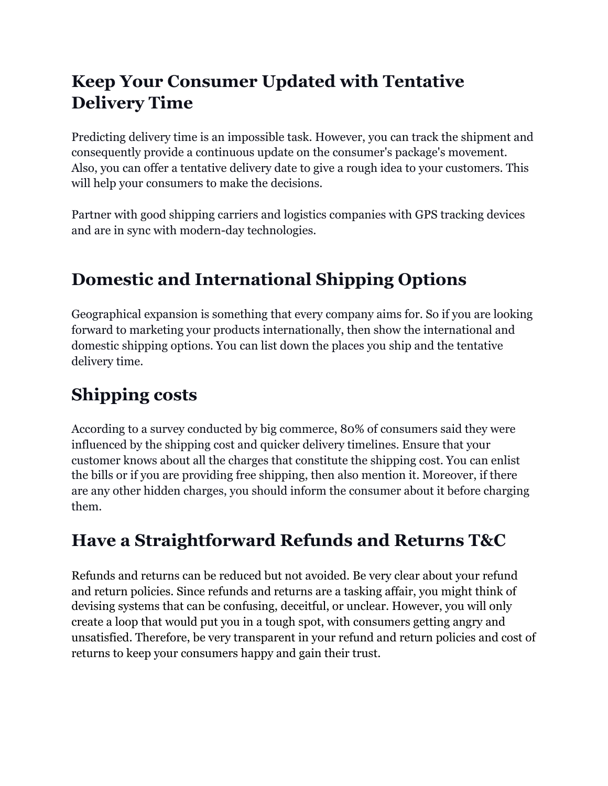### <span id="page-2-1"></span>**Keep Your Consumer Updated with Tentative Delivery Time**

Predicting delivery time is an impossible task. However, you can track the shipment and consequently provide a continuous update on the consumer's package's movement. Also, you can offer a tentative delivery date to give a rough idea to your customers. This will help your consumers to make the decisions.

Partner with good shipping carriers and logistics companies with GPS tracking devices and are in sync with modern-day technologies.

## <span id="page-2-2"></span>**Domestic and International Shipping Options**

Geographical expansion is something that every company aims for. So if you are looking forward to marketing your products internationally, then show the international and domestic shipping options. You can list down the places you ship and the tentative delivery time.

### <span id="page-2-3"></span>**Shipping costs**

According to a survey conducted by big commerce, 80% of consumers said they were influenced by the shipping cost and quicker delivery timelines. Ensure that your customer knows about all the charges that constitute the shipping cost. You can enlist the bills or if you are providing free shipping, then also mention it. Moreover, if there are any other hidden charges, you should inform the consumer about it before charging them.

### <span id="page-2-0"></span>**Have a Straightforward Refunds and Returns T&C**

Refunds and returns can be reduced but not avoided. Be very clear about your refund and return policies. Since refunds and returns are a tasking affair, you might think of devising systems that can be confusing, deceitful, or unclear. However, you will only create a loop that would put you in a tough spot, with consumers getting angry and unsatisfied. Therefore, be very transparent in your refund and return policies and cost of returns to keep your consumers happy and gain their trust.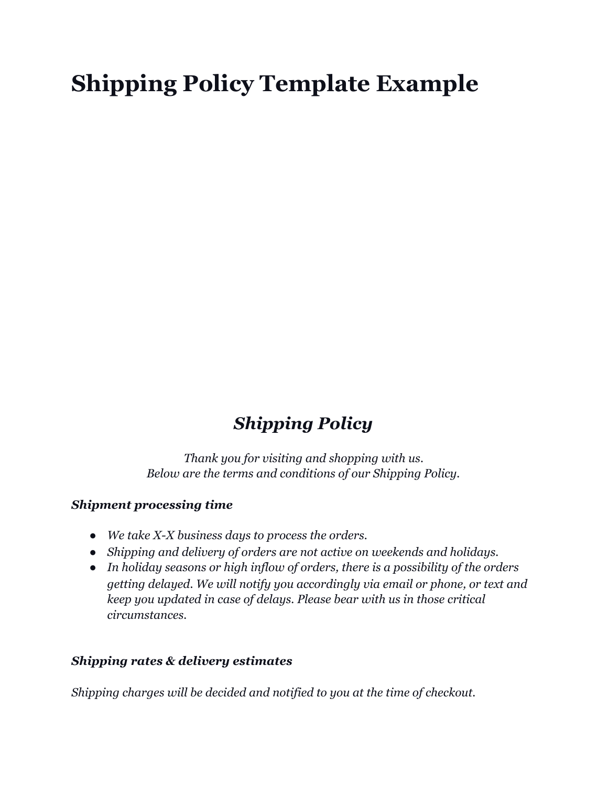# <span id="page-3-0"></span>**Shipping Policy Template Example**

## *Shipping Policy*

<span id="page-3-1"></span>*Thank you for visiting and shopping with us. Below are the terms and conditions of our Shipping Policy.*

#### *Shipment processing time*

- *● We take X-X business days to process the orders.*
- *● Shipping and delivery of orders are not active on weekends and holidays.*
- *● In holiday seasons or high inflow of orders, there is a possibility of the orders getting delayed. We will notify you accordingly via email or phone, or text and keep you updated in case of delays. Please bear with us in those critical circumstances.*

#### *Shipping rates & delivery estimates*

*Shipping charges will be decided and notified to you at the time of checkout.*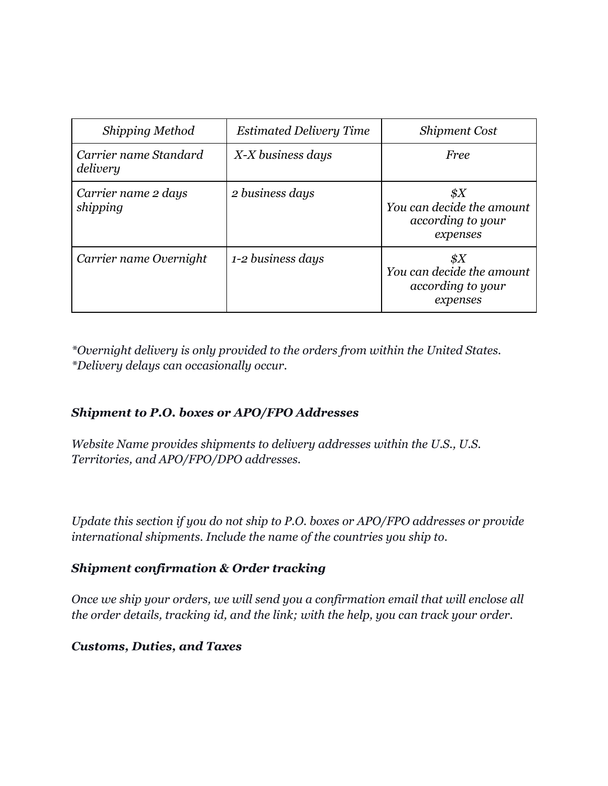| <b>Shipping Method</b>            | <b>Estimated Delivery Time</b> | <b>Shipment Cost</b>                                                                                         |
|-----------------------------------|--------------------------------|--------------------------------------------------------------------------------------------------------------|
| Carrier name Standard<br>delivery | X-X business days              | <b>Free</b>                                                                                                  |
| Carrier name 2 days<br>shipping   | 2 business days                | $\frac{1}{2}X$<br>You can decide the amount<br>according to your<br>expenses                                 |
| Carrier name Overnight            | 1-2 business days              | $\, \raisebox{12pt}{$\scriptstyle \circ$}\, X$<br>You can decide the amount<br>according to your<br>expenses |

*\*Overnight delivery is only provided to the orders from within the United States. \*Delivery delays can occasionally occur.*

#### *Shipment to P.O. boxes or APO/FPO Addresses*

*Website Name provides shipments to delivery addresses within the U.S., U.S. Territories, and APO/FPO/DPO addresses.*

*Update this section if you do not ship to P.O. boxes or APO/FPO addresses or provide international shipments. Include the name of the countries you ship to.*

#### *Shipment confirmation & Order tracking*

*Once we ship your orders, we will send you a confirmation email that will enclose all the order details, tracking id, and the link; with the help, you can track your order.*

#### *Customs, Duties, and Taxes*